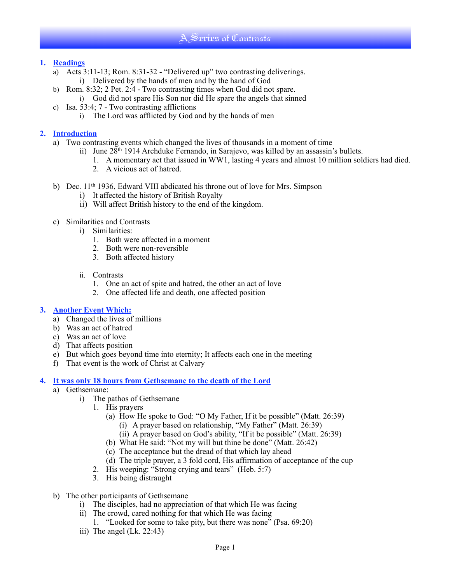# A Series of Contrasts

## **1. Readings**

- a) Acts 3:11-13; Rom. 8:31-32 "Delivered up" two contrasting deliverings. i) Delivered by the hands of men and by the hand of God
- b) Rom. 8:32; 2 Pet. 2:4 Two contrasting times when God did not spare.
	- i) God did not spare His Son nor did He spare the angels that sinned
- c) Isa. 53:4; 7 Two contrasting afflictions
	- i) The Lord was afflicted by God and by the hands of men

## **2. Introduction**

- a) Two contrasting events which changed the lives of thousands in a moment of time
	- ii) June 28th 1914 Archduke Fernando, in Sarajevo, was killed by an assassin's bullets.
		- 1. A momentary act that issued in WW1, lasting 4 years and almost 10 million soldiers had died.
		- 2. A vicious act of hatred.
- b) Dec. 11<sup>th</sup> 1936, Edward VIII abdicated his throne out of love for Mrs. Simpson
	- i) It affected the history of British Royalty
	- ii) Will affect British history to the end of the kingdom.
- c) Similarities and Contrasts
	- i) Similarities:
		- 1. Both were affected in a moment
		- 2. Both were non-reversible
		- 3. Both affected history
	- ii. Contrasts
		- 1. One an act of spite and hatred, the other an act of love
		- 2. One affected life and death, one affected position

# **3. Another Event Which:**

- a) Changed the lives of millions
- b) Was an act of hatred
- c) Was an act of love
- d) That affects position
- e) But which goes beyond time into eternity; It affects each one in the meeting
- f) That event is the work of Christ at Calvary

#### **4. It was only 18 hours from Gethsemane to the death of the Lord**

- a) Gethsemane:
	- i) The pathos of Gethsemane
		- 1. His prayers
			- (a) How He spoke to God: "O My Father, If it be possible" (Matt. 26:39)
				- (i) A prayer based on relationship, "My Father" (Matt. 26:39)
				- (ii) A prayer based on God's ability, "If it be possible" (Matt. 26:39)
			- (b) What He said: "Not my will but thine be done" (Matt. 26:42)
			- (c) The acceptance but the dread of that which lay ahead
		- (d) The triple prayer, a 3 fold cord, His affirmation of acceptance of the cup
		- 2. His weeping: "Strong crying and tears" (Heb. 5:7)
		- 3. His being distraught
- b) The other participants of Gethsemane
	- i) The disciples, had no appreciation of that which He was facing
	- ii) The crowd, cared nothing for that which He was facing
		- 1. "Looked for some to take pity, but there was none" (Psa. 69:20)
	- iii) The angel (Lk. 22:43)